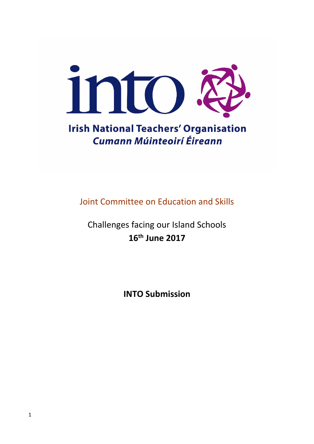

# **Irish National Teachers' Organisation Cumann Múinteoirí Éireann**

Joint Committee on Education and Skills

Challenges facing our Island Schools **16th June 2017**

**INTO Submission**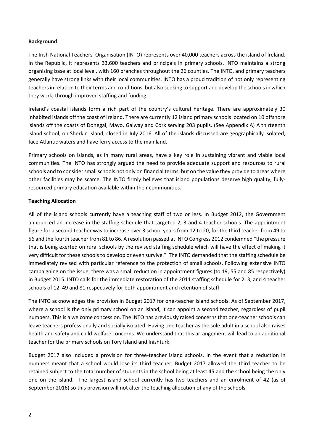#### **Background**

The Irish National Teachers' Organisation (INTO) represents over 40,000 teachers across the island of Ireland. In the Republic, it represents 33,600 teachers and principals in primary schools. INTO maintains a strong organising base at local level, with 160 branches throughout the 26 counties. The INTO, and primary teachers generally have strong links with their local communities. INTO has a proud tradition of not only representing teachers in relation to their terms and conditions, but also seeking to support and develop the schools in which they work, through improved staffing and funding.

Ireland's coastal islands form a rich part of the country's cultural heritage. There are approximately 30 inhabited islands off the coast of Ireland. There are currently 12 island primary schools located on 10 offshore islands off the coasts of Donegal, Mayo, Galway and Cork serving 203 pupils. (See Appendix A) A thirteenth island school, on Sherkin Island, closed in July 2016. All of the islands discussed are geographically isolated, face Atlantic waters and have ferry access to the mainland.

Primary schools on islands, as in many rural areas, have a key role in sustaining vibrant and viable local communities. The INTO has strongly argued the need to provide adequate support and resources to rural schools and to consider small schools not only on financial terms, but on the value they provide to areas where other facilities may be scarce. The INTO firmly believes that island populations deserve high quality, fullyresourced primary education available within their communities.

# **Teaching Allocation**

All of the island schools currently have a teaching staff of two or less. In Budget 2012, the Government announced an increase in the staffing schedule that targeted 2, 3 and 4 teacher schools. The appointment figure for a second teacher was to increase over 3 school years from 12 to 20, for the third teacher from 49 to 56 and the fourth teacher from 81 to 86. A resolution passed at INTO Congress 2012 condemned "the pressure that is being exerted on rural schools by the revised staffing schedule which will have the effect of making it very difficult for these schools to develop or even survive." The INTO demanded that the staffing schedule be immediately revised with particular reference to the protection of small schools. Following extensive INTO campaigning on the issue, there was a small reduction in appointment figures (to 19, 55 and 85 respectively) in Budget 2015. INTO calls for the immediate restoration of the 2011 staffing schedule for 2, 3, and 4 teacher schools of 12, 49 and 81 respectively for both appointment and retention of staff.

The INTO acknowledges the provision in Budget 2017 for one-teacher island schools. As of September 2017, where a school is the only primary school on an island, it can appoint a second teacher, regardless of pupil numbers. This is a welcome concession. The INTO has previously raised concerns that one-teacher schools can leave teachers professionally and socially isolated. Having one teacher as the sole adult in a school also raises health and safety and child welfare concerns. We understand that this arrangement will lead to an additional teacher for the primary schools on Tory Island and Inishturk.

Budget 2017 also included a provision for three-teacher island schools. In the event that a reduction in numbers meant that a school would lose its third teacher, Budget 2017 allowed the third teacher to be retained subject to the total number of students in the school being at least 45 and the school being the only one on the island. The largest island school currently has two teachers and an enrolment of 42 (as of September 2016) so this provision will not alter the teaching allocation of any of the schools.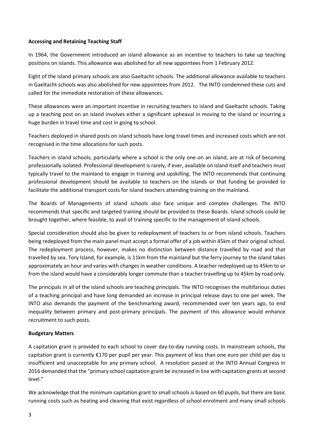#### **Accessing and Retaining Teaching Staff**

In 1964, the Government introduced an island allowance as an incentive to teachers to take up teaching positions on islands. This allowance was abolished for all new appointees from 1 February 2012.

Eight of the island primary schools are also Gaeltacht schools. The additional allowance available to teachers in Gaeltacht schools was also abolished for new appointees from 2012. The INTO condemned these cuts and called for the immediate restoration of these allowances.

These allowances were an important incentive in recruiting teachers to island and Gaeltacht schools. Taking up a teaching post on an island involves either a significant upheaval in moving to the island or incurring a huge burden in travel time and cost in going to school.

Teachers deployed in shared posts on island schools have long travel times and increased costs which are not recognised in the time allocations for such posts.

Teachers in island schools, particularly where a school is the only one on an island, are at risk of becoming professionally isolated. Professional development is rarely, if ever, available on island itself and teachers must typically travel to the mainland to engage in training and upskilling. The INTO recommends that continuing professional development should be available to teachers on the islands or that funding be provided to facilitate the additional transport costs for island teachers attending training on the mainland.

The Boards of Managements of island schools also face unique and complex challenges. The INTO recommends that specific and targeted training should be provided to these Boards. Island schools could be brought together, where feasible, to avail of training specific to the management of island schools.

Special consideration should also be given to redeployment of teachers to or from island schools. Teachers being redeployed from the main panel must accept a formal offer of a job within 45km of their original school. The redeployment process, however, makes no distinction between distance travelled by road and that travelled by sea. Tory Island, for example, is 11km from the mainland but the ferry journey to the island takes approximately an hour and varies with changes in weather conditions. A teacher redeployed up to 45km to or from the island would have a considerably longer commute than a teacher travelling up to 45km by road only.

The principals in all of the island schools are teaching principals. The INTO recognises the multifarious duties of a teaching principal and have long demanded an increase in principal release days to one per week. The INTO also demands the payment of the benchmarking award, recommended over ten years ago, to end inequality between primary and post-primary principals. The payment of this allowance would enhance recruitment to such posts.

# **Budgetary Matters**

A capitation grant is provided to each school to cover day-to-day running costs. In mainstream schools, the capitation grant is currently €170 per pupil per year. This payment of less than one euro per child per day is insufficient and unacceptable for any primary school. A resolution passed at the INTO Annual Congress in 2016 demanded that the "primary school capitation grant be increased in line with capitation grants at second level."

We acknowledge that the minimum capitation grant to small schools is based on 60 pupils, but there are basic running costs such as heating and cleaning that exist regardless of school enrolment and many small schools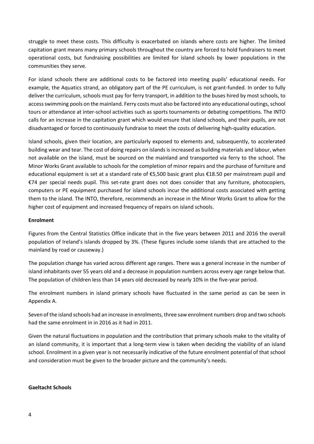struggle to meet these costs. This difficulty is exacerbated on islands where costs are higher. The limited capitation grant means many primary schools throughout the country are forced to hold fundraisers to meet operational costs, but fundraising possibilities are limited for island schools by lower populations in the communities they serve.

For island schools there are additional costs to be factored into meeting pupils' educational needs. For example, the Aquatics strand, an obligatory part of the PE curriculum, is not grant-funded. In order to fully deliver the curriculum, schools must pay for ferry transport, in addition to the buses hired by most schools, to access swimming pools on the mainland. Ferry costs must also be factored into any educational outings, school tours or attendance at inter-school activities such as sports tournaments or debating competitions. The INTO calls for an increase in the capitation grant which would ensure that island schools, and their pupils, are not disadvantaged or forced to continuously fundraise to meet the costs of delivering high-quality education.

Island schools, given their location, are particularly exposed to elements and, subsequently, to accelerated building wear and tear. The cost of doing repairs on islands is increased as building materials and labour, when not available on the island, must be sourced on the mainland and transported via ferry to the school. The Minor Works Grant available to schools for the completion of minor repairs and the purchase of furniture and educational equipment is set at a standard rate of €5,500 basic grant plus €18.50 per mainstream pupil and €74 per special needs pupil. This set-rate grant does not does consider that any furniture, photocopiers, computers or PE equipment purchased for island schools incur the additional costs associated with getting them to the island. The INTO, therefore, recommends an increase in the Minor Works Grant to allow for the higher cost of equipment and increased frequency of repairs on island schools.

### **Enrolment**

Figures from the Central Statistics Office indicate that in the five years between 2011 and 2016 the overall population of Ireland's islands dropped by 3%. (These figures include some islands that are attached to the mainland by road or causeway.)

The population change has varied across different age ranges. There was a general increase in the number of island inhabitants over 55 years old and a decrease in population numbers across every age range below that. The population of children less than 14 years old decreased by nearly 10% in the five-year period.

The enrolment numbers in island primary schools have fluctuated in the same period as can be seen in Appendix A.

Seven of the island schools had an increase in enrolments, three saw enrolment numbers drop and two schools had the same enrolment in in 2016 as it had in 2011.

Given the natural fluctuations in population and the contribution that primary schools make to the vitality of an island community, it is important that a long-term view is taken when deciding the viability of an island school. Enrolment in a given year is not necessarily indicative of the future enrolment potential of that school and consideration must be given to the broader picture and the community's needs.

#### **Gaeltacht Schools**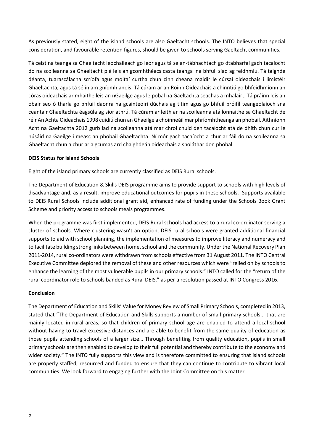As previously stated, eight of the island schools are also Gaeltacht schools. The INTO believes that special consideration, and favourable retention figures, should be given to schools serving Gaeltacht communities.

Tá ceist na teanga sa Ghaeltacht leochaileach go leor agus tá sé an-tábhachtach go dtabharfaí gach tacaíocht do na scoileanna sa Ghaeltacht plé leis an gcomhthéacs casta teanga ina bhfuil siad ag feidhmiú. Tá taighde déanta, tuarascálacha scríofa agus moltaí curtha chun cinn cheana maidir le cúrsaí oideachais i limistéir Ghaeltachta, agus tá sé in am gníomh anois. Tá cúram ar an Roinn Oideachais a chinntiú go bhfeidhmíonn an córas oideachais ar mhaithe leis an nGaeilge agus le pobal na Gaeltachta seachas a mhalairt. Tá práinn leis an obair seo ó tharla go bhfuil daonra na gcainteoirí dúchais ag titim agus go bhfuil próifíl teangeolaíoch sna ceantair Ghaeltachta éagsúla ag síor athrú. Tá cúram ar leith ar na scoileanna atá lonnaithe sa Ghaeltacht de réir An Achta Oideachais 1998 cuidiú chun an Ghaeilge a choinneáil mar phríomhtheanga an phobail. Aithníonn Acht na Gaeltachta 2012 gurb iad na scoileanna atá mar chroí chuid den tacaíocht atá de dhíth chun cur le húsáid na Gaeilge i measc an phobail Ghaeltachta. Ní mór gach tacaíocht a chur ar fáil do na scoileanna sa Ghaeltacht chun a chur ar a gcumas ard chaighdeán oideachais a sholáthar don phobal.

#### **DEIS Status for Island Schools**

Eight of the island primary schools are currently classified as DEIS Rural schools.

The Department of Education & Skills DEIS programme aims to provide support to schools with high levels of disadvantage and, as a result, improve educational outcomes for pupils in these schools. Supports available to DEIS Rural Schools include additional grant aid, enhanced rate of funding under the Schools Book Grant Scheme and priority access to schools meals programmes.

When the programme was first implemented, DEIS Rural schools had access to a rural co-ordinator serving a cluster of schools. Where clustering wasn't an option, DEIS rural schools were granted additional financial supports to aid with school planning, the implementation of measures to improve literacy and numeracy and to facilitate building strong links between home, school and the community. Under the National Recovery Plan 2011-2014, rural co-ordinators were withdrawn from schools effective from 31 August 2011. The INTO Central Executive Committee deplored the removal of these and other resources which were "relied on by schools to enhance the learning of the most vulnerable pupils in our primary schools." INTO called for the "return of the rural coordinator role to schools banded as Rural DEIS," as per a resolution passed at INTO Congress 2016.

#### **Conclusion**

The Department of Education and Skills' Value for Money Review of Small Primary Schools, completed in 2013, stated that "The Department of Education and Skills supports a number of small primary schools.., that are mainly located in rural areas, so that children of primary school age are enabled to attend a local school without having to travel excessive distances and are able to benefit from the same quality of education as those pupils attending schools of a larger size… Through benefiting from quality education, pupils in small primary schools are then enabled to develop to their full potential and thereby contribute to the economy and wider society." The INTO fully supports this view and is therefore committed to ensuring that island schools are properly staffed, resourced and funded to ensure that they can continue to contribute to vibrant local communities. We look forward to engaging further with the Joint Committee on this matter.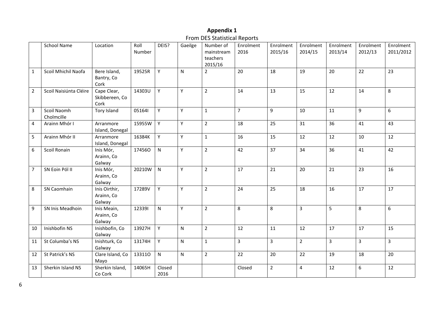|                |                           |                                       |                |                |              | TTUITI DES Statistical NEPULLS                 |                   |                      |                      |                      |                      |                        |
|----------------|---------------------------|---------------------------------------|----------------|----------------|--------------|------------------------------------------------|-------------------|----------------------|----------------------|----------------------|----------------------|------------------------|
|                | <b>School Name</b>        | Location                              | Roll<br>Number | DEIS?          | Gaeilge      | Number of<br>mainstream<br>teachers<br>2015/16 | Enrolment<br>2016 | Enrolment<br>2015/16 | Enrolment<br>2014/15 | Enrolment<br>2013/14 | Enrolment<br>2012/13 | Enrolment<br>2011/2012 |
| $\mathbf{1}$   | Scoil Mhichil Naofa       | Bere Island,<br>Bantry, Co<br>Cork    | 19525R         | Y              | ${\sf N}$    | $\overline{2}$                                 | 20                | 18                   | 19                   | 20                   | 22                   | 23                     |
| $\overline{2}$ | Scoil Naisiúnta Cléire    | Cape Clear,<br>Skibbereen, Co<br>Cork | 14303U         | Y              | Y            | $\overline{2}$                                 | 14                | 13                   | 15                   | 12                   | 14                   | 8                      |
| $\mathbf{3}$   | Scoil Naomh<br>Cholmcille | Tory Island                           | 051641         | Y              | Y            | $\mathbf{1}$                                   | $\overline{7}$    | 9                    | 10                   | 11                   | 9                    | $6\phantom{1}6$        |
| 4              | Arainn Mhór I             | Arranmore<br>Island, Donegal          | 15955W         | Y              | Y            | $\overline{2}$                                 | 18                | 25                   | 31                   | 36                   | 41                   | 43                     |
| 5              | Arainn Mhór II            | Arranmore<br>Island, Donegal          | 16384K         | Y              | Y            | $\mathbf{1}$                                   | 16                | 15                   | 12                   | 12                   | 10                   | 12                     |
| 6              | Scoil Ronain              | Inis Mór,<br>Arainn, Co<br>Galway     | 174560         | ${\sf N}$      | Y            | $\overline{2}$                                 | 42                | 37                   | 34                   | 36                   | 41                   | 42                     |
| $\overline{7}$ | SN Eoin Pól II            | Inis Mór,<br>Arainn, Co<br>Galway     | 20210W         | ${\sf N}$      | Y            | $\overline{2}$                                 | 17                | 21                   | 20                   | 21                   | 23                   | 16                     |
| 8              | SN Caomhain               | Inis Oirthir,<br>Arainn, Co<br>Galway | 17289V         | Y              | Y            | $\overline{2}$                                 | 24                | 25                   | 18                   | 16                   | 17                   | 17                     |
| 9              | SN Inis Meadhoin          | Inis Meain,<br>Arainn, Co<br>Galway   | 123391         | ${\sf N}$      | Υ            | $\overline{2}$                                 | 8                 | 8                    | $\overline{3}$       | 5                    | 8                    | $6\phantom{1}$         |
| 10             | Inishbofin NS             | Inishbofin, Co<br>Galway              | 13927H         | Y              | $\mathsf{N}$ | $\overline{2}$                                 | 12                | 11                   | 12                   | 17                   | 17                   | 15                     |
| 11             | St Columba's NS           | Inishturk, Co<br>Galway               | 13174H         | Y              | $\mathsf{N}$ | $\mathbf{1}$                                   | $\overline{3}$    | $\overline{3}$       | $\overline{2}$       | $\overline{3}$       | $\overline{3}$       | $\overline{3}$         |
| 12             | St Patrick's NS           | Clare Island, Co<br>Mayo              | 133110         | $\mathsf{N}$   | $\mathsf{N}$ | $\overline{2}$                                 | 22                | 20                   | 22                   | 19                   | 18                   | 20                     |
| 13             | Sherkin Island NS         | Sherkin Island,<br>Co Cork            | 14065H         | Closed<br>2016 |              |                                                | Closed            | $\overline{2}$       | 4                    | 12                   | 6                    | 12                     |

# **Appendix 1** From DES Statistical Reports